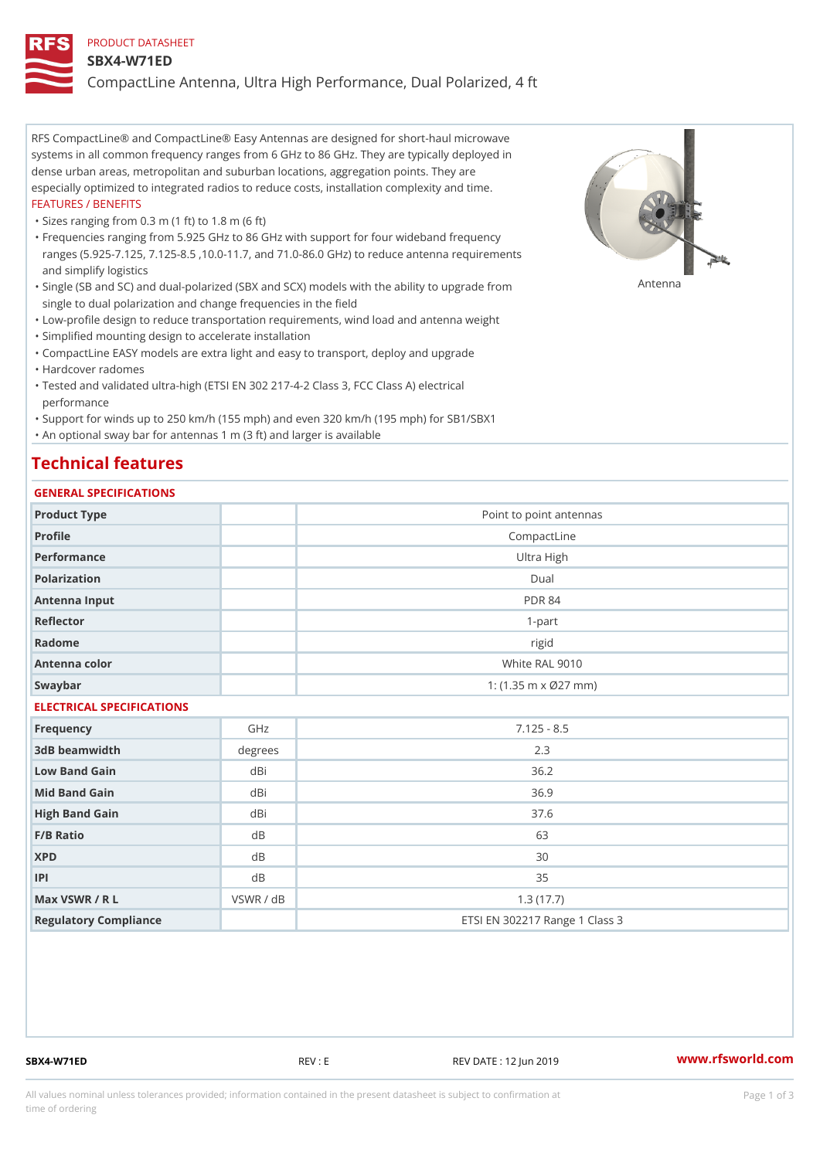### PRODUCT DATASHEET

### SBX4-W71ED

CompactLine Antenna, Ultra High Performance, Dual Polarized, 4 ft

RFS CompactLine® and CompactLine® Easy Antennas are designed for short-haul microwave systems in all common frequency ranges from 6 GHz to 86 GHz. They are typically deployed in dense urban areas, metropolitan and suburban locations, aggregation points. They are especially optimized to integrated radios to reduce costs, installation complexity and time. FEATURES / BENEFITS

"Sizes ranging from 0.3 m (1 ft) to 1.8 m (6 ft)

Frequencies ranging from 5.925 GHz to 86 GHz with support for four wideband frequency " ranges (5.925-7.125, 7.125-8.5 ,10.0-11.7, and 71.0-86.0 GHz) to reduce antenna requirements and simplify logistics

"Single (SB and SC) and dual-polarized (SBX and SCX) models with the abili $\mathsf{f}_\mathsf{V}^{\eta}$ ttenup $\beta$ grade from single to dual polarization and change frequencies in the field

"Low-profile design to reduce transportation requirements, wind load and antenna weight

"Simplified mounting design to accelerate installation

 "CompactLine EASY models are extra light and easy to transport, deploy and upgrade "Hardcover radomes

Tested and validated ultra-high (ETSI EN 302 217-4-2 Class 3, FCC Class A) electrical " performance

 "Support for winds up to 250 km/h (155 mph) and even 320 km/h (195 mph) for SB1/SBX1 "An optional sway bar for antennas 1 m (3 ft) and larger is available

## Technical features

## GENERAL SPECIFICATIONS

| OLIVERAL OF LOTITUATIONS  |           |                                   |  |  |
|---------------------------|-----------|-----------------------------------|--|--|
| Product Type              |           | Point to point antennas           |  |  |
| Profile                   |           | CompactLine                       |  |  |
| Performance               |           | Ultra High                        |  |  |
| Polarization              |           | $D$ ual                           |  |  |
| Antenna Input             |           | <b>PDR 84</b>                     |  |  |
| Reflector                 |           | $1 - p$ art                       |  |  |
| Radome                    |           | rigid                             |  |  |
| Antenna color             |           | White RAL 9010                    |  |  |
| Swaybar                   |           | 1: $(1.35 \, m \times 027 \, mm)$ |  |  |
| ELECTRICAL SPECIFICATIONS |           |                                   |  |  |
| Frequency                 | GHz       | $7.125 - 8.5$                     |  |  |
| 3dB beamwidth             | degrees   | 2.3                               |  |  |
| Low Band Gain             | $dB$ i    | 36.2                              |  |  |
| Mid Band Gain             | dBi       | 36.9                              |  |  |
| High Band Gain            | dBi       | 37.6                              |  |  |
| F/B Ratio                 | d B       | 63                                |  |  |
| <b>XPD</b>                | d B       | 30                                |  |  |
| P                         | $d$ B     | 35                                |  |  |
| Max VSWR / R L            | VSWR / dB | 1.3(17.7)                         |  |  |
| Regulatory Compliance     |           | ETSI EN 302217 Range 1 Class 3    |  |  |

SBX4-W71ED REV : E REV DATE : 12 Jun 2019 [www.](https://www.rfsworld.com)rfsworld.com

All values nominal unless tolerances provided; information contained in the present datasheet is subject to Pcapgeign mation time of ordering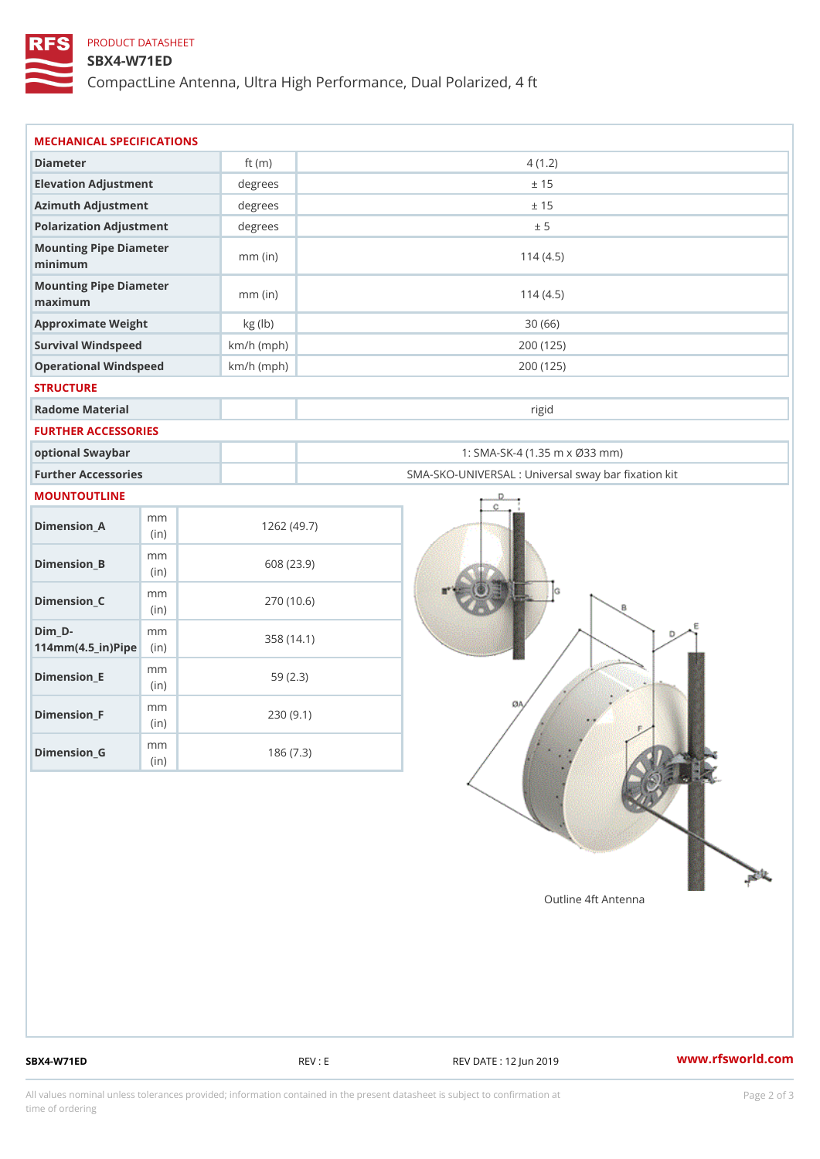# PRODUCT DATASHEET

## SBX4-W71ED

CompactLine Antenna, Ultra High Performance, Dual Polarized, 4 ft

| MECHANICAL SPECIFICATIONS                                  |              |                                                   |  |
|------------------------------------------------------------|--------------|---------------------------------------------------|--|
| Diameter                                                   | ft $(m)$     | 4(1.2)                                            |  |
| Elevation Adjustment                                       | degrees      | ± 15                                              |  |
| Azimuth Adjustment                                         | degrees      | ± 15                                              |  |
| Polarization Adjustment                                    | $degree$ :   | ± 5                                               |  |
| Mounting Pipe Diameter<br>minimum                          | $mm$ (in)    | 114(4.5)                                          |  |
| Mounting Pipe Diameter<br>maximum                          | $mm$ (in)    | 114(4.5)                                          |  |
| Approximate Weight                                         | kg (lb)      | 30(66)                                            |  |
| Survival Windspeed                                         | $km/h$ (mph) | 200 (125)                                         |  |
| Operational Windspeed                                      | $km/h$ (mph) | 200 (125)                                         |  |
| <b>STRUCTURE</b>                                           |              |                                                   |  |
| Radome Material                                            |              | rigid                                             |  |
| FURTHER ACCESSORIES                                        |              |                                                   |  |
| optional Swaybar                                           |              | 1: SMA-SK-4 (1.35 m x Ø33 mm)                     |  |
| Further Accessories                                        |              | SMA-SKO-UNIVERSAL : Universal sway bar fixation l |  |
| MOUNTOUTLINE                                               |              |                                                   |  |
| m m<br>$Dimension_A$<br>(in)                               |              | 1262(49.7)                                        |  |
| m m<br>$Dimension_B$<br>(in)                               |              | 608 (23.9)                                        |  |
| m m<br>$Dimen sion_C$<br>(i n)                             |              | 270 (10.6)                                        |  |
| $Dim_D -$<br>m m<br>$114$ m m $(4.5$ _ ir $)$ $R$ ii p $e$ |              | 358 (14.1)                                        |  |
| m m<br>$Dimension$ = E<br>(i n)                            |              | 59(2.3)                                           |  |
| m m<br>$Dimension_F$<br>(in)                               |              | 230(9.1)                                          |  |
| m m<br>$D$ imension $_G$<br>(in)                           |              | 186(7.3)                                          |  |

SBX4-W71ED REV : E REV DATE : 12 Jun 2019 WWW.rfsworld.com

All values nominal unless tolerances provided; information contained in the present datasheet is subject to Pcapgelio an atio time of ordering